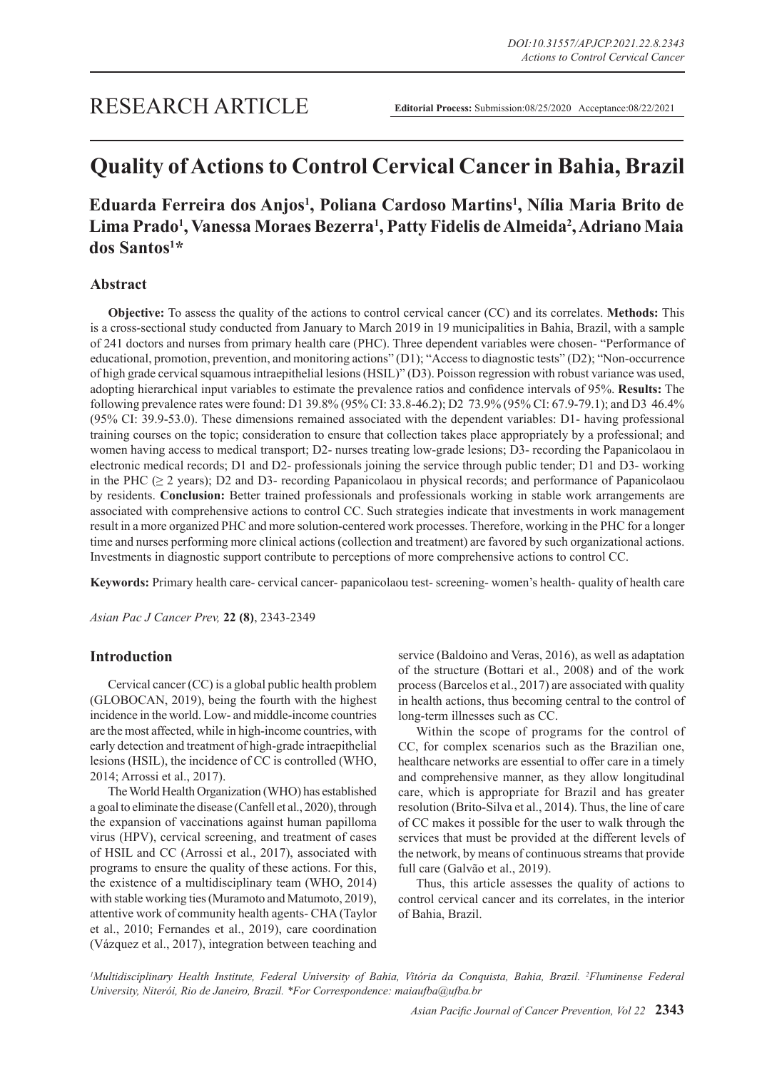# **Quality of Actions to Control Cervical Cancer in Bahia, Brazil**

## Eduarda Ferreira dos Anjos<sup>1</sup>, Poliana Cardoso Martins<sup>1</sup>, Nília Maria Brito de **Lima Prado1 , Vanessa Moraes Bezerra1 , Patty Fidelis de Almeida2 , Adriano Maia dos Santos1 \***

## **Abstract**

**Objective:** To assess the quality of the actions to control cervical cancer (CC) and its correlates. **Methods:** This is a cross-sectional study conducted from January to March 2019 in 19 municipalities in Bahia, Brazil, with a sample of 241 doctors and nurses from primary health care (PHC). Three dependent variables were chosen- "Performance of educational, promotion, prevention, and monitoring actions" (D1); "Access to diagnostic tests" (D2); "Non-occurrence of high grade cervical squamous intraepithelial lesions (HSIL)" (D3). Poisson regression with robust variance was used, adopting hierarchical input variables to estimate the prevalence ratios and confidence intervals of 95%. **Results:** The following prevalence rates were found: D1 39.8% (95% CI: 33.8-46.2); D2 73.9% (95% CI: 67.9-79.1); and D3 46.4% (95% CI: 39.9-53.0). These dimensions remained associated with the dependent variables: D1- having professional training courses on the topic; consideration to ensure that collection takes place appropriately by a professional; and women having access to medical transport; D2- nurses treating low-grade lesions; D3- recording the Papanicolaou in electronic medical records; D1 and D2- professionals joining the service through public tender; D1 and D3- working in the PHC ( $\geq$  2 years); D2 and D3- recording Papanicolaou in physical records; and performance of Papanicolaou by residents. **Conclusion:** Better trained professionals and professionals working in stable work arrangements are associated with comprehensive actions to control CC. Such strategies indicate that investments in work management result in a more organized PHC and more solution-centered work processes. Therefore, working in the PHC for a longer time and nurses performing more clinical actions (collection and treatment) are favored by such organizational actions. Investments in diagnostic support contribute to perceptions of more comprehensive actions to control CC.

**Keywords:** Primary health care- cervical cancer- papanicolaou test- screening- women's health- quality of health care

*Asian Pac J Cancer Prev,* **22 (8)**, 2343-2349

## **Introduction**

Cervical cancer (CC) is a global public health problem (GLOBOCAN, 2019), being the fourth with the highest incidence in the world. Low- and middle-income countries are the most affected, while in high-income countries, with early detection and treatment of high-grade intraepithelial lesions (HSIL), the incidence of CC is controlled (WHO, 2014; Arrossi et al., 2017).

The World Health Organization (WHO) has established a goal to eliminate the disease (Canfell et al., 2020), through the expansion of vaccinations against human papilloma virus (HPV), cervical screening, and treatment of cases of HSIL and CC (Arrossi et al., 2017), associated with programs to ensure the quality of these actions. For this, the existence of a multidisciplinary team (WHO, 2014) with stable working ties (Muramoto and Matumoto, 2019), attentive work of community health agents- CHA (Taylor et al., 2010; Fernandes et al., 2019), care coordination (Vázquez et al., 2017), integration between teaching and service (Baldoino and Veras, 2016), as well as adaptation of the structure (Bottari et al., 2008) and of the work process (Barcelos et al., 2017) are associated with quality in health actions, thus becoming central to the control of long-term illnesses such as CC.

Within the scope of programs for the control of CC, for complex scenarios such as the Brazilian one, healthcare networks are essential to offer care in a timely and comprehensive manner, as they allow longitudinal care, which is appropriate for Brazil and has greater resolution (Brito-Silva et al., 2014). Thus, the line of care of CC makes it possible for the user to walk through the services that must be provided at the different levels of the network, by means of continuous streams that provide full care (Galvão et al., 2019).

Thus, this article assesses the quality of actions to control cervical cancer and its correlates, in the interior of Bahia, Brazil.

*1 Multidisciplinary Health Institute, Federal University of Bahia, Vitória da Conquista, Bahia, Brazil. 2 Fluminense Federal University, Niterói, Rio de Janeiro, Brazil. \*For Correspondence: maiaufba@ufba.br*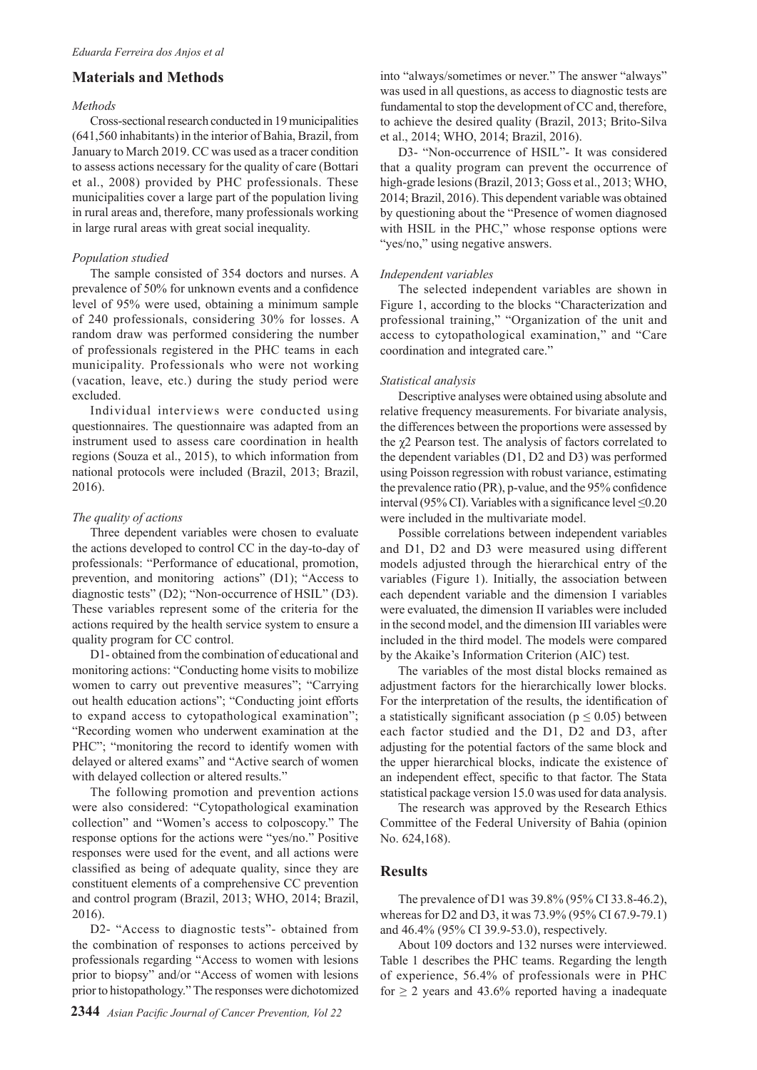## **Materials and Methods**

#### *Methods*

Cross-sectional research conducted in 19 municipalities (641,560 inhabitants) in the interior of Bahia, Brazil, from January to March 2019. CC was used as a tracer condition to assess actions necessary for the quality of care (Bottari et al., 2008) provided by PHC professionals. These municipalities cover a large part of the population living in rural areas and, therefore, many professionals working in large rural areas with great social inequality.

#### *Population studied*

The sample consisted of 354 doctors and nurses. A prevalence of 50% for unknown events and a confidence level of 95% were used, obtaining a minimum sample of 240 professionals, considering 30% for losses. A random draw was performed considering the number of professionals registered in the PHC teams in each municipality. Professionals who were not working (vacation, leave, etc.) during the study period were excluded.

Individual interviews were conducted using questionnaires. The questionnaire was adapted from an instrument used to assess care coordination in health regions (Souza et al., 2015), to which information from national protocols were included (Brazil, 2013; Brazil, 2016).

#### *The quality of actions*

Three dependent variables were chosen to evaluate the actions developed to control CC in the day-to-day of professionals: "Performance of educational, promotion, prevention, and monitoring actions" (D1); "Access to diagnostic tests" (D2); "Non-occurrence of HSIL" (D3). These variables represent some of the criteria for the actions required by the health service system to ensure a quality program for CC control.

D1- obtained from the combination of educational and monitoring actions: "Conducting home visits to mobilize women to carry out preventive measures"; "Carrying out health education actions"; "Conducting joint efforts to expand access to cytopathological examination"; "Recording women who underwent examination at the PHC"; "monitoring the record to identify women with delayed or altered exams" and "Active search of women with delayed collection or altered results."

The following promotion and prevention actions were also considered: "Cytopathological examination collection" and "Women's access to colposcopy." The response options for the actions were "yes/no." Positive responses were used for the event, and all actions were classified as being of adequate quality, since they are constituent elements of a comprehensive CC prevention and control program (Brazil, 2013; WHO, 2014; Brazil, 2016).

D2- "Access to diagnostic tests"- obtained from the combination of responses to actions perceived by professionals regarding "Access to women with lesions prior to biopsy" and/or "Access of women with lesions prior to histopathology." The responses were dichotomized into "always/sometimes or never." The answer "always" was used in all questions, as access to diagnostic tests are fundamental to stop the development of CC and, therefore, to achieve the desired quality (Brazil, 2013; Brito-Silva et al., 2014; WHO, 2014; Brazil, 2016).

D3- "Non-occurrence of HSIL"- It was considered that a quality program can prevent the occurrence of high-grade lesions (Brazil, 2013; Goss et al., 2013; WHO, 2014; Brazil, 2016). This dependent variable was obtained by questioning about the "Presence of women diagnosed with HSIL in the PHC," whose response options were "yes/no," using negative answers.

#### *Independent variables*

The selected independent variables are shown in Figure 1, according to the blocks "Characterization and professional training," "Organization of the unit and access to cytopathological examination," and "Care coordination and integrated care."

#### *Statistical analysis*

Descriptive analyses were obtained using absolute and relative frequency measurements. For bivariate analysis, the differences between the proportions were assessed by the χ2 Pearson test. The analysis of factors correlated to the dependent variables (D1, D2 and D3) was performed using Poisson regression with robust variance, estimating the prevalence ratio (PR), p-value, and the 95% confidence interval (95% CI). Variables with a significance level ≤0.20 were included in the multivariate model.

Possible correlations between independent variables and D1, D2 and D3 were measured using different models adjusted through the hierarchical entry of the variables (Figure 1). Initially, the association between each dependent variable and the dimension I variables were evaluated, the dimension II variables were included in the second model, and the dimension III variables were included in the third model. The models were compared by the Akaike's Information Criterion (AIC) test.

The variables of the most distal blocks remained as adjustment factors for the hierarchically lower blocks. For the interpretation of the results, the identification of a statistically significant association ( $p \le 0.05$ ) between each factor studied and the D1, D2 and D3, after adjusting for the potential factors of the same block and the upper hierarchical blocks, indicate the existence of an independent effect, specific to that factor. The Stata statistical package version 15.0 was used for data analysis.

The research was approved by the Research Ethics Committee of the Federal University of Bahia (opinion No. 624,168).

## **Results**

The prevalence of D1 was 39.8% (95% CI 33.8-46.2), whereas for D2 and D3, it was 73.9% (95% CI 67.9-79.1) and 46.4% (95% CI 39.9-53.0), respectively.

About 109 doctors and 132 nurses were interviewed. Table 1 describes the PHC teams. Regarding the length of experience, 56.4% of professionals were in PHC for  $\geq$  2 years and 43.6% reported having a inadequate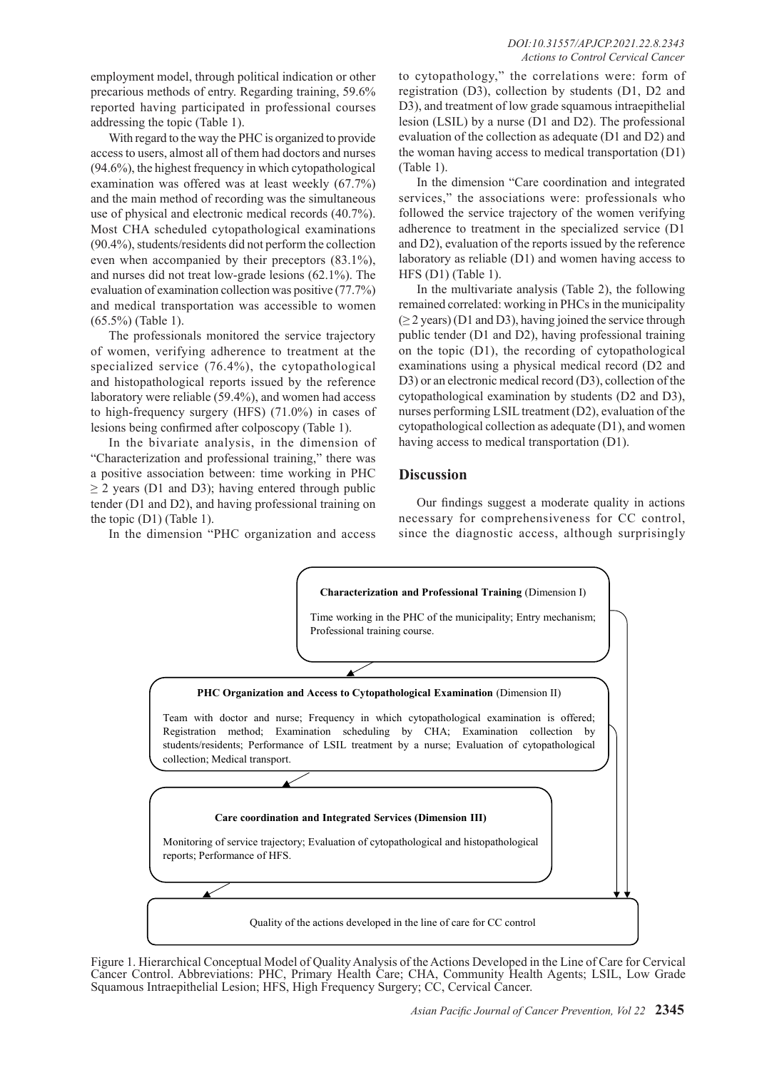employment model, through political indication or other precarious methods of entry. Regarding training, 59.6% reported having participated in professional courses addressing the topic (Table 1).

With regard to the way the PHC is organized to provide access to users, almost all of them had doctors and nurses (94.6%), the highest frequency in which cytopathological examination was offered was at least weekly (67.7%) and the main method of recording was the simultaneous use of physical and electronic medical records (40.7%). Most CHA scheduled cytopathological examinations (90.4%), students/residents did not perform the collection even when accompanied by their preceptors (83.1%), and nurses did not treat low-grade lesions (62.1%). The evaluation of examination collection was positive (77.7%) and medical transportation was accessible to women (65.5%) (Table 1).

The professionals monitored the service trajectory of women, verifying adherence to treatment at the specialized service (76.4%), the cytopathological and histopathological reports issued by the reference laboratory were reliable (59.4%), and women had access to high-frequency surgery (HFS) (71.0%) in cases of lesions being confirmed after colposcopy (Table 1).

In the bivariate analysis, in the dimension of "Characterization and professional training," there was a positive association between: time working in PHC  $\geq$  2 years (D1 and D3); having entered through public tender (D1 and D2), and having professional training on the topic (D1) (Table 1).

In the dimension "PHC organization and access

to cytopathology," the correlations were: form of registration (D3), collection by students (D1, D2 and D3), and treatment of low grade squamous intraepithelial lesion (LSIL) by a nurse (D1 and D2). The professional evaluation of the collection as adequate (D1 and D2) and the woman having access to medical transportation (D1) (Table 1).

In the dimension "Care coordination and integrated services," the associations were: professionals who followed the service trajectory of the women verifying adherence to treatment in the specialized service (D1 and D2), evaluation of the reports issued by the reference laboratory as reliable (D1) and women having access to HFS (D1) (Table 1).

In the multivariate analysis (Table 2), the following remained correlated: working in PHCs in the municipality  $(\geq 2 \text{ years})$  (D1 and D3), having joined the service through public tender (D1 and D2), having professional training on the topic (D1), the recording of cytopathological examinations using a physical medical record (D2 and D3) or an electronic medical record (D3), collection of the cytopathological examination by students (D2 and D3), nurses performing LSIL treatment (D2), evaluation of the cytopathological collection as adequate (D1), and women having access to medical transportation (D1).

## **Discussion**

Our findings suggest a moderate quality in actions necessary for comprehensiveness for CC control, since the diagnostic access, although surprisingly



Figure 1. Hierarchical Conceptual Model of Quality Analysis of the Actions Developed in the Line of Care for Cervical Cancer Control. Abbreviations: PHC, Primary Health Care; CHA, Community Health Agents; LSIL, Low Grade Squamous Intraepithelial Lesion; HFS, High Frequency Surgery; CC, Cervical Cancer.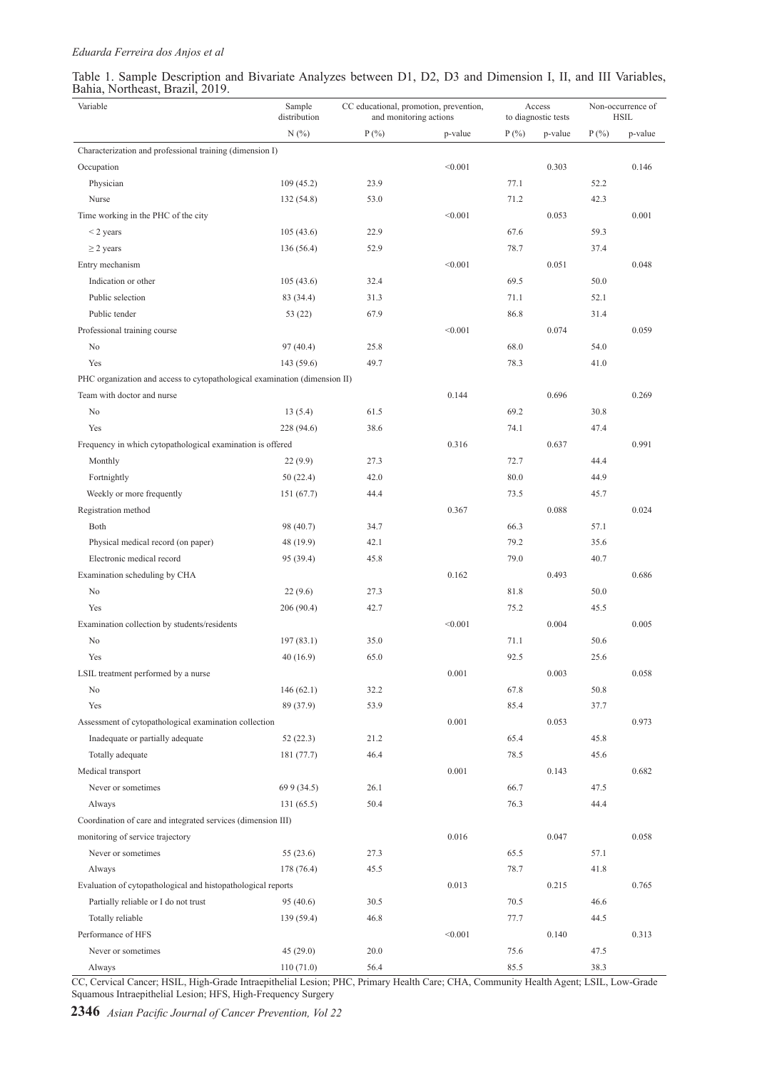## *Eduarda Ferreira dos Anjos et al*

| Table 1. Sample Description and Bivariate Analyzes between D1, D2, D3 and Dimension I, II, and III Variables, |  |  |  |  |  |  |  |  |
|---------------------------------------------------------------------------------------------------------------|--|--|--|--|--|--|--|--|
| Bahia, Northeast, Brazil, 2019.                                                                               |  |  |  |  |  |  |  |  |

| Variable                                                                   | Sample<br>distribution | CC educational, promotion, prevention,<br>and monitoring actions |         |              | Access<br>to diagnostic tests | Non-occurrence of<br><b>HSIL</b> |         |  |
|----------------------------------------------------------------------------|------------------------|------------------------------------------------------------------|---------|--------------|-------------------------------|----------------------------------|---------|--|
|                                                                            | N(%)                   | $P(\% )$                                                         | p-value | $P(\% )$     | p-value                       | $P(\% )$                         | p-value |  |
| Characterization and professional training (dimension I)                   |                        |                                                                  |         |              |                               |                                  |         |  |
| Occupation                                                                 |                        |                                                                  | < 0.001 |              | 0.303                         |                                  | 0.146   |  |
| Physician                                                                  | 109(45.2)              | 23.9                                                             |         | 77.1         |                               | 52.2                             |         |  |
| Nurse                                                                      | 132 (54.8)             | 53.0                                                             |         | 71.2         |                               | 42.3                             |         |  |
| Time working in the PHC of the city                                        |                        |                                                                  | < 0.001 |              | 0.053                         |                                  | 0.001   |  |
| $<$ 2 years                                                                | 105(43.6)              | 22.9                                                             |         | 67.6         |                               | 59.3                             |         |  |
| $\geq$ 2 years                                                             | 136 (56.4)             | 52.9                                                             |         | 78.7         |                               | 37.4                             |         |  |
| Entry mechanism                                                            |                        |                                                                  | < 0.001 |              | 0.051                         |                                  | 0.048   |  |
| Indication or other                                                        | 105(43.6)              | 32.4                                                             |         | 69.5         |                               | 50.0                             |         |  |
| Public selection                                                           | 83 (34.4)              | 31.3                                                             |         | 71.1         |                               | 52.1                             |         |  |
| Public tender                                                              | 53 (22)                | 67.9                                                             |         | 86.8         |                               | 31.4                             |         |  |
| Professional training course                                               |                        |                                                                  | < 0.001 |              | 0.074                         |                                  | 0.059   |  |
| No                                                                         | 97(40.4)               | 25.8                                                             |         | 68.0         |                               | 54.0                             |         |  |
| Yes                                                                        | 143 (59.6)             | 49.7                                                             |         | 78.3         |                               | 41.0                             |         |  |
| PHC organization and access to cytopathological examination (dimension II) |                        |                                                                  |         |              |                               |                                  |         |  |
| Team with doctor and nurse                                                 |                        |                                                                  | 0.144   |              | 0.696                         |                                  | 0.269   |  |
| No                                                                         | 13(5.4)                | 61.5                                                             |         | 69.2         |                               | 30.8                             |         |  |
| Yes                                                                        | 228 (94.6)             | 38.6                                                             |         | 74.1         |                               | 47.4                             |         |  |
| Frequency in which cytopathological examination is offered                 |                        |                                                                  | 0.316   |              | 0.637                         |                                  | 0.991   |  |
| Monthly                                                                    | 22(9.9)                | 27.3                                                             |         | 72.7         |                               | 44.4                             |         |  |
| Fortnightly                                                                | 50(22.4)               | 42.0                                                             |         | 80.0         |                               | 44.9                             |         |  |
| Weekly or more frequently                                                  | 151 (67.7)             | 44.4                                                             |         | 73.5         |                               | 45.7                             |         |  |
| Registration method                                                        |                        |                                                                  | 0.367   |              | 0.088                         |                                  | 0.024   |  |
| Both                                                                       | 98 (40.7)              | 34.7                                                             |         | 66.3         |                               | 57.1                             |         |  |
| Physical medical record (on paper)                                         | 48 (19.9)              | 42.1                                                             |         | 79.2         |                               | 35.6                             |         |  |
| Electronic medical record                                                  | 95 (39.4)              | 45.8                                                             |         | 79.0         |                               | 40.7                             |         |  |
| Examination scheduling by CHA                                              |                        |                                                                  | 0.162   |              | 0.493                         |                                  | 0.686   |  |
| No                                                                         | 22(9.6)                | 27.3                                                             |         | 81.8         |                               | 50.0                             |         |  |
| Yes                                                                        | 206 (90.4)             | 42.7                                                             |         | 75.2         |                               | 45.5                             |         |  |
| Examination collection by students/residents                               |                        |                                                                  | < 0.001 |              | 0.004                         |                                  | 0.005   |  |
| No                                                                         | 197(83.1)              | 35.0                                                             |         | 71.1         |                               | 50.6                             |         |  |
| Yes                                                                        | 40 (16.9)              | 65.0                                                             |         | 92.5         |                               | 25.6                             |         |  |
| LSIL treatment performed by a nurse                                        |                        |                                                                  | 0.001   |              | 0.003                         |                                  | 0.058   |  |
| No                                                                         | 146(62.1)              | 32.2                                                             |         | 67.8         |                               | 50.8                             |         |  |
| Yes                                                                        | 89 (37.9)              | 53.9                                                             |         | 85.4         |                               | 37.7                             |         |  |
| Assessment of cytopathological examination collection                      |                        | 0.001                                                            |         | 0.053        |                               | 0.973                            |         |  |
| Inadequate or partially adequate                                           | 52(22.3)               | 21.2                                                             |         | 65.4         |                               | 45.8                             |         |  |
| Totally adequate                                                           | 181 (77.7)             | 46.4                                                             |         | 78.5         |                               | 45.6                             |         |  |
| Medical transport                                                          |                        |                                                                  | 0.001   |              | 0.143                         |                                  | 0.682   |  |
| Never or sometimes                                                         | 69 9 (34.5)            | 26.1                                                             |         | 66.7         |                               | 47.5                             |         |  |
| Always                                                                     | 131 (65.5)             | 50.4                                                             |         | 76.3         |                               | 44.4                             |         |  |
| Coordination of care and integrated services (dimension III)               |                        |                                                                  |         |              |                               |                                  |         |  |
| monitoring of service trajectory                                           |                        |                                                                  | 0.016   |              | 0.047                         |                                  | 0.058   |  |
| Never or sometimes                                                         | 55(23.6)               | 27.3                                                             |         | 65.5         |                               | 57.1                             |         |  |
| Always                                                                     | 178 (76.4)             | 45.5                                                             |         | 78.7         |                               | 41.8                             |         |  |
| Evaluation of cytopathological and histopathological reports               |                        |                                                                  | 0.013   |              | 0.215                         |                                  | 0.765   |  |
| Partially reliable or I do not trust                                       | 95 (40.6)              | 30.5                                                             |         | 70.5         |                               | 46.6                             |         |  |
| Totally reliable                                                           | 139 (59.4)             | 46.8                                                             |         | 77.7         |                               | 44.5                             |         |  |
| Performance of HFS                                                         |                        |                                                                  | < 0.001 |              | 0.140                         |                                  | 0.313   |  |
| Never or sometimes                                                         | 45(29.0)<br>110(71.0)  | 20.0                                                             |         | 75.6<br>85.5 |                               | 47.5<br>38.3                     |         |  |
| Always                                                                     |                        | 56.4                                                             |         |              |                               |                                  |         |  |

CC, Cervical Cancer; HSIL, High-Grade Intraepithelial Lesion; PHC, Primary Health Care; CHA, Community Health Agent; LSIL, Low-Grade Squamous Intraepithelial Lesion; HFS, High-Frequency Surgery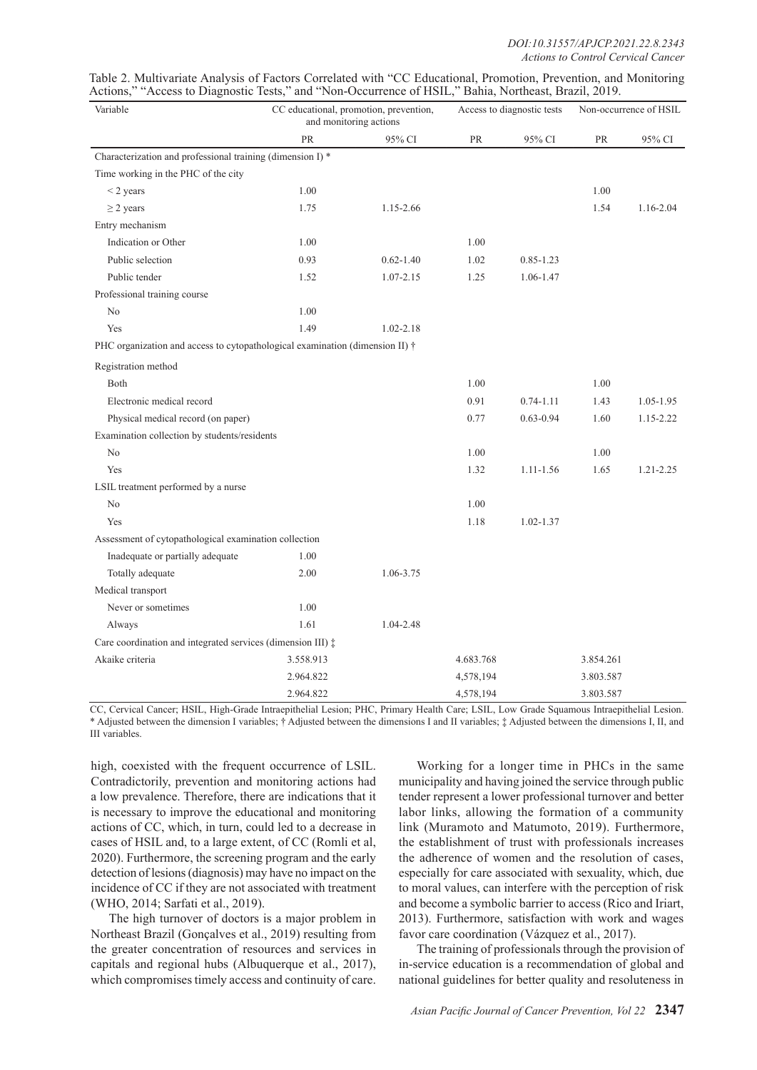| Variable                                                                     |           | CC educational, promotion, prevention,<br>and monitoring actions |           | Access to diagnostic tests | Non-occurrence of HSIL |               |  |
|------------------------------------------------------------------------------|-----------|------------------------------------------------------------------|-----------|----------------------------|------------------------|---------------|--|
|                                                                              | PR        | 95% CI                                                           | PR        | 95% CI                     | PR                     | 95% CI        |  |
| Characterization and professional training (dimension I) *                   |           |                                                                  |           |                            |                        |               |  |
| Time working in the PHC of the city                                          |           |                                                                  |           |                            |                        |               |  |
| $\leq$ 2 years                                                               | 1.00      |                                                                  |           |                            | 1.00                   |               |  |
| $\geq$ 2 years                                                               | 1.75      | 1.15-2.66                                                        |           |                            | 1.54                   | 1.16-2.04     |  |
| Entry mechanism                                                              |           |                                                                  |           |                            |                        |               |  |
| Indication or Other                                                          | 1.00      |                                                                  | 1.00      |                            |                        |               |  |
| Public selection                                                             | 0.93      | $0.62 - 1.40$                                                    | 1.02      | $0.85 - 1.23$              |                        |               |  |
| Public tender                                                                | 1.52      | $1.07 - 2.15$                                                    | 1.25      | 1.06-1.47                  |                        |               |  |
| Professional training course                                                 |           |                                                                  |           |                            |                        |               |  |
| No                                                                           | 1.00      |                                                                  |           |                            |                        |               |  |
| Yes                                                                          | 1.49      | $1.02 - 2.18$                                                    |           |                            |                        |               |  |
| PHC organization and access to cytopathological examination (dimension II) † |           |                                                                  |           |                            |                        |               |  |
| Registration method                                                          |           |                                                                  |           |                            |                        |               |  |
| <b>Both</b>                                                                  |           |                                                                  | 1.00      |                            | 1.00                   |               |  |
| Electronic medical record                                                    |           |                                                                  | 0.91      | $0.74 - 1.11$              | 1.43                   | 1.05-1.95     |  |
| Physical medical record (on paper)                                           |           |                                                                  | 0.77      | $0.63 - 0.94$              | 1.60                   | 1.15-2.22     |  |
| Examination collection by students/residents                                 |           |                                                                  |           |                            |                        |               |  |
| N <sub>0</sub>                                                               |           |                                                                  | 1.00      |                            | 1.00                   |               |  |
| Yes                                                                          |           |                                                                  | 1.32      | $1.11 - 1.56$              | 1.65                   | $1.21 - 2.25$ |  |
| LSIL treatment performed by a nurse                                          |           |                                                                  |           |                            |                        |               |  |
| N <sub>0</sub>                                                               |           |                                                                  | 1.00      |                            |                        |               |  |
| Yes                                                                          |           |                                                                  | 1.18      | $1.02 - 1.37$              |                        |               |  |
| Assessment of cytopathological examination collection                        |           |                                                                  |           |                            |                        |               |  |
| Inadequate or partially adequate                                             | 1.00      |                                                                  |           |                            |                        |               |  |
| Totally adequate                                                             | 2.00      | 1.06-3.75                                                        |           |                            |                        |               |  |
| Medical transport                                                            |           |                                                                  |           |                            |                        |               |  |
| Never or sometimes                                                           | 1.00      |                                                                  |           |                            |                        |               |  |
| Always                                                                       | 1.61      | 1.04-2.48                                                        |           |                            |                        |               |  |
| Care coordination and integrated services (dimension III) $\ddagger$         |           |                                                                  |           |                            |                        |               |  |
| Akaike criteria                                                              | 3.558.913 |                                                                  | 4.683.768 |                            | 3.854.261              |               |  |
|                                                                              | 2.964.822 |                                                                  | 4,578,194 |                            | 3.803.587              |               |  |
|                                                                              | 2.964.822 |                                                                  | 4,578,194 |                            | 3.803.587              |               |  |

Table 2. Multivariate Analysis of Factors Correlated with "CC Educational, Promotion, Prevention, and Monitoring Actions," "Access to Diagnostic Tests," and "Non-Occurrence of HSIL," Bahia, Northeast, Brazil, 2019.

CC, Cervical Cancer; HSIL, High-Grade Intraepithelial Lesion; PHC, Primary Health Care; LSIL, Low Grade Squamous Intraepithelial Lesion. \* Adjusted between the dimension I variables; † Adjusted between the dimensions I and II variables; ‡ Adjusted between the dimensions I, II, and III variables.

high, coexisted with the frequent occurrence of LSIL. Contradictorily, prevention and monitoring actions had a low prevalence. Therefore, there are indications that it is necessary to improve the educational and monitoring actions of CC, which, in turn, could led to a decrease in cases of HSIL and, to a large extent, of CC (Romli et al, 2020). Furthermore, the screening program and the early detection of lesions (diagnosis) may have no impact on the incidence of CC if they are not associated with treatment (WHO, 2014; Sarfati et al., 2019).

The high turnover of doctors is a major problem in Northeast Brazil (Gonçalves et al., 2019) resulting from the greater concentration of resources and services in capitals and regional hubs (Albuquerque et al., 2017), which compromises timely access and continuity of care.

Working for a longer time in PHCs in the same municipality and having joined the service through public tender represent a lower professional turnover and better labor links, allowing the formation of a community link (Muramoto and Matumoto, 2019). Furthermore, the establishment of trust with professionals increases the adherence of women and the resolution of cases, especially for care associated with sexuality, which, due to moral values, can interfere with the perception of risk and become a symbolic barrier to access (Rico and Iriart, 2013). Furthermore, satisfaction with work and wages favor care coordination (Vázquez et al., 2017).

The training of professionals through the provision of in-service education is a recommendation of global and national guidelines for better quality and resoluteness in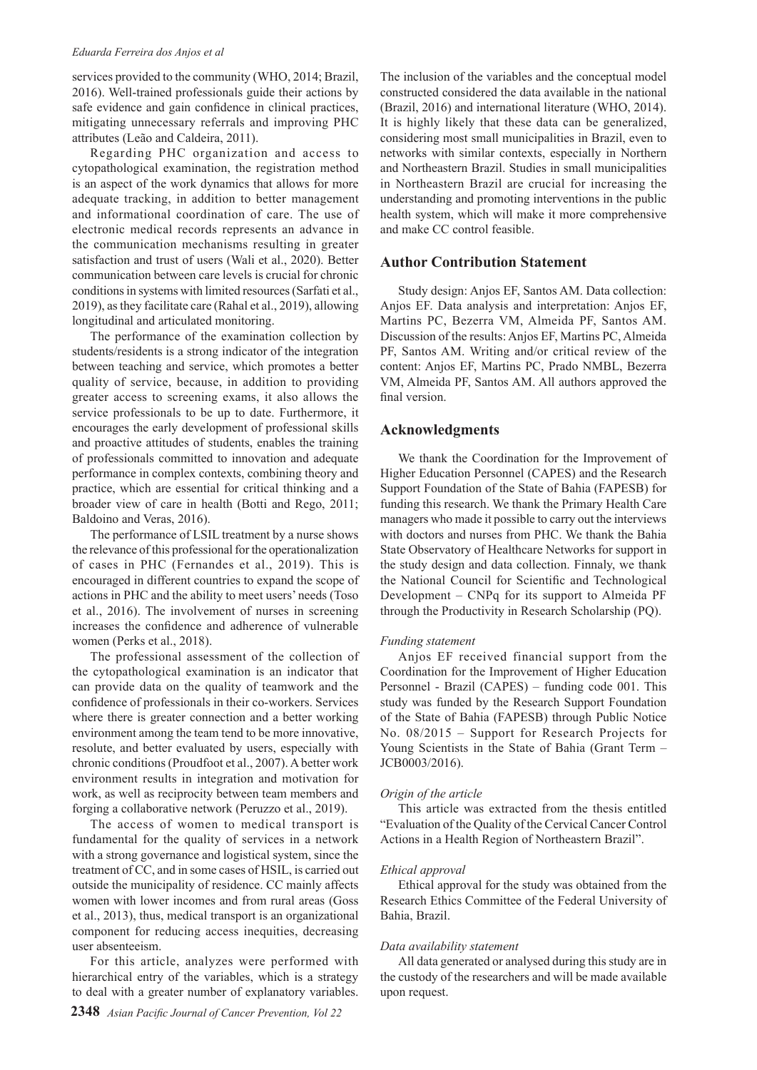#### *Eduarda Ferreira dos Anjos et al*

services provided to the community (WHO, 2014; Brazil, 2016). Well-trained professionals guide their actions by safe evidence and gain confidence in clinical practices, mitigating unnecessary referrals and improving PHC attributes (Leão and Caldeira, 2011).

Regarding PHC organization and access to cytopathological examination, the registration method is an aspect of the work dynamics that allows for more adequate tracking, in addition to better management and informational coordination of care. The use of electronic medical records represents an advance in the communication mechanisms resulting in greater satisfaction and trust of users (Wali et al., 2020). Better communication between care levels is crucial for chronic conditions in systems with limited resources (Sarfati et al., 2019), as they facilitate care (Rahal et al., 2019), allowing longitudinal and articulated monitoring.

The performance of the examination collection by students/residents is a strong indicator of the integration between teaching and service, which promotes a better quality of service, because, in addition to providing greater access to screening exams, it also allows the service professionals to be up to date. Furthermore, it encourages the early development of professional skills and proactive attitudes of students, enables the training of professionals committed to innovation and adequate performance in complex contexts, combining theory and practice, which are essential for critical thinking and a broader view of care in health (Botti and Rego, 2011; Baldoino and Veras, 2016).

The performance of LSIL treatment by a nurse shows the relevance of this professional for the operationalization of cases in PHC (Fernandes et al., 2019). This is encouraged in different countries to expand the scope of actions in PHC and the ability to meet users' needs (Toso et al., 2016). The involvement of nurses in screening increases the confidence and adherence of vulnerable women (Perks et al., 2018).

The professional assessment of the collection of the cytopathological examination is an indicator that can provide data on the quality of teamwork and the confidence of professionals in their co-workers. Services where there is greater connection and a better working environment among the team tend to be more innovative, resolute, and better evaluated by users, especially with chronic conditions (Proudfoot et al., 2007). A better work environment results in integration and motivation for work, as well as reciprocity between team members and forging a collaborative network (Peruzzo et al., 2019).

The access of women to medical transport is fundamental for the quality of services in a network with a strong governance and logistical system, since the treatment of CC, and in some cases of HSIL, is carried out outside the municipality of residence. CC mainly affects women with lower incomes and from rural areas (Goss et al., 2013), thus, medical transport is an organizational component for reducing access inequities, decreasing user absenteeism.

For this article, analyzes were performed with hierarchical entry of the variables, which is a strategy to deal with a greater number of explanatory variables.

The inclusion of the variables and the conceptual model constructed considered the data available in the national (Brazil, 2016) and international literature (WHO, 2014). It is highly likely that these data can be generalized, considering most small municipalities in Brazil, even to networks with similar contexts, especially in Northern and Northeastern Brazil. Studies in small municipalities in Northeastern Brazil are crucial for increasing the understanding and promoting interventions in the public health system, which will make it more comprehensive and make CC control feasible.

## **Author Contribution Statement**

Study design: Anjos EF, Santos AM. Data collection: Anjos EF. Data analysis and interpretation: Anjos EF, Martins PC, Bezerra VM, Almeida PF, Santos AM. Discussion of the results: Anjos EF, Martins PC, Almeida PF, Santos AM. Writing and/or critical review of the content: Anjos EF, Martins PC, Prado NMBL, Bezerra VM, Almeida PF, Santos AM. All authors approved the final version.

## **Acknowledgments**

We thank the Coordination for the Improvement of Higher Education Personnel (CAPES) and the Research Support Foundation of the State of Bahia (FAPESB) for funding this research. We thank the Primary Health Care managers who made it possible to carry out the interviews with doctors and nurses from PHC. We thank the Bahia State Observatory of Healthcare Networks for support in the study design and data collection. Finnaly, we thank the National Council for Scientific and Technological Development – CNPq for its support to Almeida PF through the Productivity in Research Scholarship (PQ).

#### *Funding statement*

Anjos EF received financial support from the Coordination for the Improvement of Higher Education Personnel - Brazil (CAPES) – funding code 001. This study was funded by the Research Support Foundation of the State of Bahia (FAPESB) through Public Notice No. 08/2015 – Support for Research Projects for Young Scientists in the State of Bahia (Grant Term – JCB0003/2016).

#### *Origin of the article*

This article was extracted from the thesis entitled "Evaluation of the Quality of the Cervical Cancer Control Actions in a Health Region of Northeastern Brazil".

#### *Ethical approval*

Ethical approval for the study was obtained from the Research Ethics Committee of the Federal University of Bahia, Brazil.

#### *Data availability statement*

All data generated or analysed during this study are in the custody of the researchers and will be made available upon request.